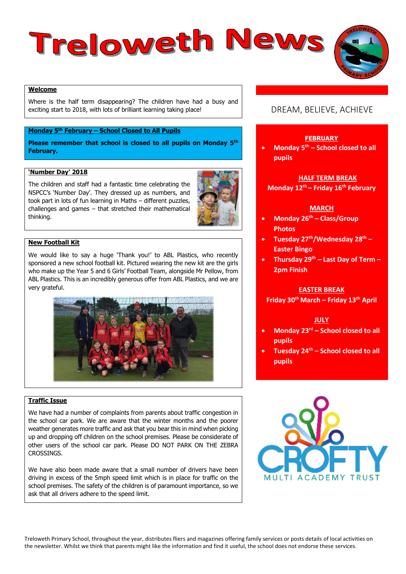# Treloweth News



Where is the half term disappearing? The children have had a busy and exciting start to 2018, with lots of brilliant learning taking place!

## **Monday 5th February – School Closed to All Pupils**

**Please remember that school is closed to all pupils on Monday 5th February.** 

#### **'Number Day' 2018**

The children and staff had a fantastic time celebrating the NSPCC's 'Number Day'. They dressed up as numbers, and took part in lots of fun learning in Maths – different puzzles, challenges and games – that stretched their mathematical thinking.



### **New Football Kit**

We would like to say a huge 'Thank you!' to ABL Plastics, who recently sponsored a new school football kit. Pictured wearing the new kit are the girls who make up the Year 5 and 6 Girls' Football Team, alongside Mr Pellow, from ABL Plastics. This is an incredibly generous offer from ABL Plastics, and we are very grateful.



## **Traffic Issue**

We have had a number of complaints from parents about traffic congestion in the school car park. We are aware that the winter months and the poorer weather generates more traffic and ask that you bear this in mind when picking up and dropping off children on the school premises. Please be considerate of other users of the school car park. Please DO NOT PARK ON THE ZEBRA **CROSSINGS** 

We have also been made aware that a small number of drivers have been driving in excess of the 5mph speed limit which is in place for traffic on the school premises. The safety of the children is of paramount importance, so we ask that all drivers adhere to the speed limit.

# DREAM, BELIEVE, ACHIEVE

#### **FEBRUARY**

 **Monday 5th – School closed to all pupils**

#### **HALF TERM BREAK**

**Monday 12th – Friday 16th February**

#### **MARCH**

- **Monday 26th – Class/Group Photos**
- **Tuesday 27th/Wednesday 28th – Easter Bingo**
- **Thursday 29th – Last Day of Term – 2pm Finish**

#### **EASTER BREAK**

**Friday 30th March – Friday 13th April**

#### **JULY**

- **Monday 23rd – School closed to all pupils**
- **Tuesday 24th – School closed to all pupils**